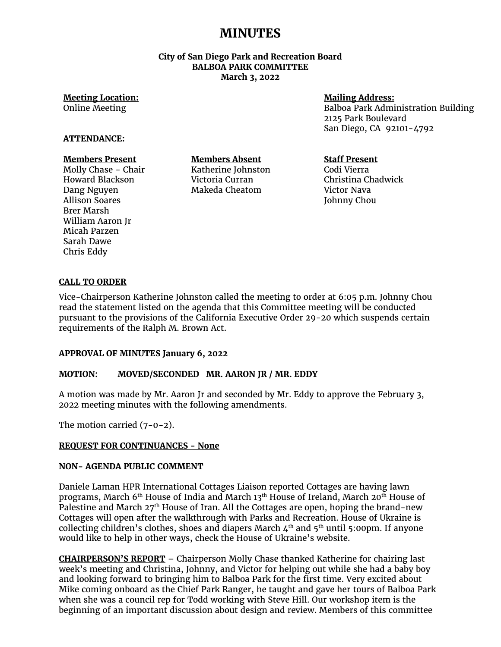# **MINUTES**

#### **City of San Diego Park and Recreation Board BALBOA PARK COMMITTEE March 3, 2022**

# **Meeting Location:**

Online Meeting

## **Mailing Address:**

Balboa Park Administration Building 2125 Park Boulevard San Diego, CA 92101-4792

#### **ATTENDANCE:**

## **Members Present**

Molly Chase - Chair Howard Blackson Dang Nguyen Allison Soares Brer Marsh William Aaron Jr Micah Parzen Sarah Dawe Chris Eddy

**Members Absent** Katherine Johnston Victoria Curran Makeda Cheatom

## **Staff Present**

Codi Vierra Christina Chadwick Victor Nava Johnny Chou

## **CALL TO ORDER**

Vice-Chairperson Katherine Johnston called the meeting to order at 6:05 p.m. Johnny Chou read the statement listed on the agenda that this Committee meeting will be conducted pursuant to the provisions of the California Executive Order 29-20 which suspends certain requirements of the Ralph M. Brown Act.

#### **APPROVAL OF MINUTES January 6, 2022**

#### **MOTION: MOVED/SECONDED MR. AARON JR / MR. EDDY**

A motion was made by Mr. Aaron Jr and seconded by Mr. Eddy to approve the February 3, 2022 meeting minutes with the following amendments.

The motion carried (7-0-2).

#### **REQUEST FOR CONTINUANCES - None**

#### **NON- AGENDA PUBLIC COMMENT**

Daniele Laman HPR International Cottages Liaison reported Cottages are having lawn programs, March 6<sup>th</sup> House of India and March 13<sup>th</sup> House of Ireland, March 20<sup>th</sup> House of Palestine and March 27<sup>th</sup> House of Iran. All the Cottages are open, hoping the brand-new Cottages will open after the walkthrough with Parks and Recreation. House of Ukraine is collecting children's clothes, shoes and diapers March  $4<sup>th</sup>$  and  $5<sup>th</sup>$  until 5:00pm. If anyone would like to help in other ways, check the House of Ukraine's website.

**CHAIRPERSON'S REPORT** – Chairperson Molly Chase thanked Katherine for chairing last week's meeting and Christina, Johnny, and Victor for helping out while she had a baby boy and looking forward to bringing him to Balboa Park for the first time. Very excited about Mike coming onboard as the Chief Park Ranger, he taught and gave her tours of Balboa Park when she was a council rep for Todd working with Steve Hill. Our workshop item is the beginning of an important discussion about design and review. Members of this committee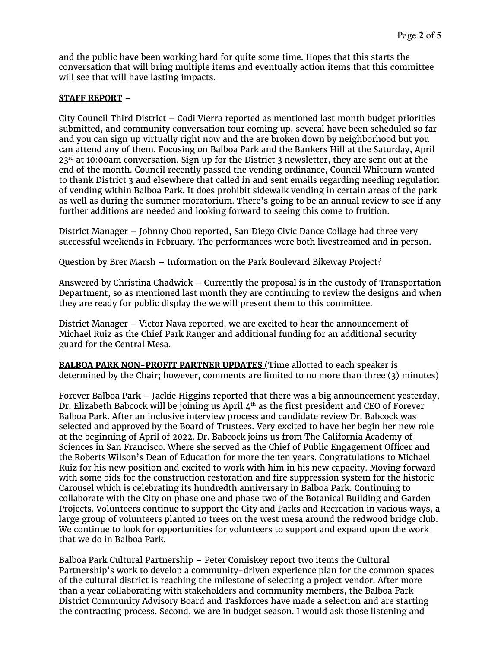and the public have been working hard for quite some time. Hopes that this starts the conversation that will bring multiple items and eventually action items that this committee will see that will have lasting impacts.

## **STAFF REPORT –**

City Council Third District – Codi Vierra reported as mentioned last month budget priorities submitted, and community conversation tour coming up, several have been scheduled so far and you can sign up virtually right now and the are broken down by neighborhood but you can attend any of them. Focusing on Balboa Park and the Bankers Hill at the Saturday, April  $23<sup>rd</sup>$  at 10:00am conversation. Sign up for the District 3 newsletter, they are sent out at the end of the month. Council recently passed the vending ordinance, Council Whitburn wanted to thank District 3 and elsewhere that called in and sent emails regarding needing regulation of vending within Balboa Park. It does prohibit sidewalk vending in certain areas of the park as well as during the summer moratorium. There's going to be an annual review to see if any further additions are needed and looking forward to seeing this come to fruition.

District Manager – Johnny Chou reported, San Diego Civic Dance Collage had three very successful weekends in February. The performances were both livestreamed and in person.

Question by Brer Marsh – Information on the Park Boulevard Bikeway Project?

Answered by Christina Chadwick – Currently the proposal is in the custody of Transportation Department, so as mentioned last month they are continuing to review the designs and when they are ready for public display the we will present them to this committee.

District Manager – Victor Nava reported, we are excited to hear the announcement of Michael Ruiz as the Chief Park Ranger and additional funding for an additional security guard for the Central Mesa.

**BALBOA PARK NON-PROFIT PARTNER UPDATES** (Time allotted to each speaker is determined by the Chair; however, comments are limited to no more than three (3) minutes)

Forever Balboa Park – Jackie Higgins reported that there was a big announcement yesterday, Dr. Elizabeth Babcock will be joining us April  $4<sup>th</sup>$  as the first president and CEO of Forever Balboa Park. After an inclusive interview process and candidate review Dr. Babcock was selected and approved by the Board of Trustees. Very excited to have her begin her new role at the beginning of April of 2022. Dr. Babcock joins us from The California Academy of Sciences in San Francisco. Where she served as the Chief of Public Engagement Officer and the Roberts Wilson's Dean of Education for more the ten years. Congratulations to Michael Ruiz for his new position and excited to work with him in his new capacity. Moving forward with some bids for the construction restoration and fire suppression system for the historic Carousel which is celebrating its hundredth anniversary in Balboa Park. Continuing to collaborate with the City on phase one and phase two of the Botanical Building and Garden Projects. Volunteers continue to support the City and Parks and Recreation in various ways, a large group of volunteers planted 10 trees on the west mesa around the redwood bridge club. We continue to look for opportunities for volunteers to support and expand upon the work that we do in Balboa Park.

Balboa Park Cultural Partnership – Peter Comiskey report two items the Cultural Partnership's work to develop a community-driven experience plan for the common spaces of the cultural district is reaching the milestone of selecting a project vendor. After more than a year collaborating with stakeholders and community members, the Balboa Park District Community Advisory Board and Taskforces have made a selection and are starting the contracting process. Second, we are in budget season. I would ask those listening and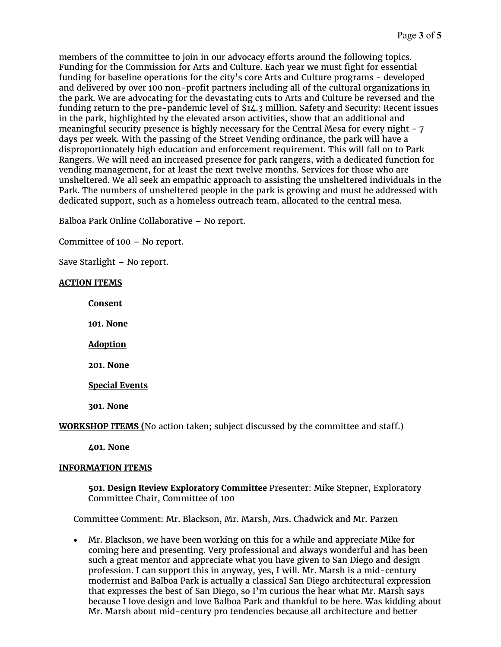members of the committee to join in our advocacy efforts around the following topics. Funding for the Commission for Arts and Culture. Each year we must fight for essential funding for baseline operations for the city's core Arts and Culture programs - developed and delivered by over 100 non-profit partners including all of the cultural organizations in the park. We are advocating for the devastating cuts to Arts and Culture be reversed and the funding return to the pre-pandemic level of \$14.3 million. Safety and Security: Recent issues in the park, highlighted by the elevated arson activities, show that an additional and meaningful security presence is highly necessary for the Central Mesa for every night - 7 days per week. With the passing of the Street Vending ordinance, the park will have a disproportionately high education and enforcement requirement. This will fall on to Park Rangers. We will need an increased presence for park rangers, with a dedicated function for vending management, for at least the next twelve months. Services for those who are unsheltered. We all seek an empathic approach to assisting the unsheltered individuals in the Park. The numbers of unsheltered people in the park is growing and must be addressed with dedicated support, such as a homeless outreach team, allocated to the central mesa.

Balboa Park Online Collaborative – No report.

Committee of 100 – No report.

Save Starlight – No report.

#### **ACTION ITEMS**

**Consent** 

**101. None**

**Adoption**

**201. None**

**Special Events**

**301. None**

**WORKSHOP ITEMS (**No action taken; subject discussed by the committee and staff.)

**401. None**

#### **INFORMATION ITEMS**

**501. Design Review Exploratory Committee** Presenter: Mike Stepner, Exploratory Committee Chair, Committee of 100

Committee Comment: Mr. Blackson, Mr. Marsh, Mrs. Chadwick and Mr. Parzen

• Mr. Blackson, we have been working on this for a while and appreciate Mike for coming here and presenting. Very professional and always wonderful and has been such a great mentor and appreciate what you have given to San Diego and design profession. I can support this in anyway, yes, I will. Mr. Marsh is a mid-century modernist and Balboa Park is actually a classical San Diego architectural expression that expresses the best of San Diego, so I'm curious the hear what Mr. Marsh says because I love design and love Balboa Park and thankful to be here. Was kidding about Mr. Marsh about mid-century pro tendencies because all architecture and better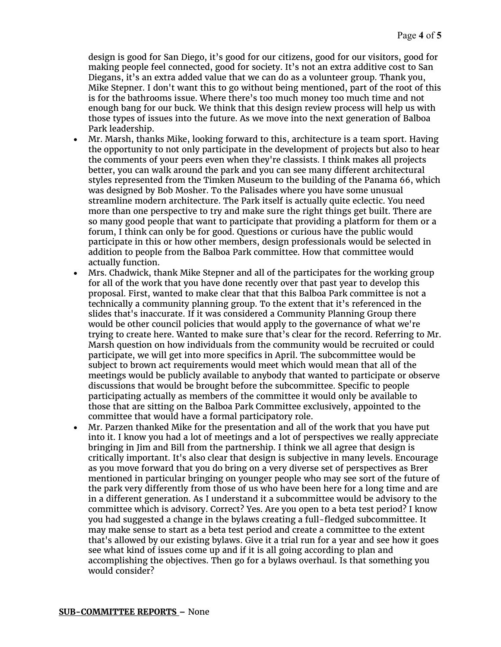design is good for San Diego, it's good for our citizens, good for our visitors, good for making people feel connected, good for society. It's not an extra additive cost to San Diegans, it's an extra added value that we can do as a volunteer group. Thank you, Mike Stepner. I don't want this to go without being mentioned, part of the root of this is for the bathrooms issue. Where there's too much money too much time and not enough bang for our buck. We think that this design review process will help us with those types of issues into the future. As we move into the next generation of Balboa Park leadership.

- Mr. Marsh, thanks Mike, looking forward to this, architecture is a team sport. Having the opportunity to not only participate in the development of projects but also to hear the comments of your peers even when they're classists. I think makes all projects better, you can walk around the park and you can see many different architectural styles represented from the Timken Museum to the building of the Panama 66, which was designed by Bob Mosher. To the Palisades where you have some unusual streamline modern architecture. The Park itself is actually quite eclectic. You need more than one perspective to try and make sure the right things get built. There are so many good people that want to participate that providing a platform for them or a forum, I think can only be for good. Questions or curious have the public would participate in this or how other members, design professionals would be selected in addition to people from the Balboa Park committee. How that committee would actually function.
- Mrs. Chadwick, thank Mike Stepner and all of the participates for the working group for all of the work that you have done recently over that past year to develop this proposal. First, wanted to make clear that that this Balboa Park committee is not a technically a community planning group. To the extent that it's referenced in the slides that's inaccurate. If it was considered a Community Planning Group there would be other council policies that would apply to the governance of what we're trying to create here. Wanted to make sure that's clear for the record. Referring to Mr. Marsh question on how individuals from the community would be recruited or could participate, we will get into more specifics in April. The subcommittee would be subject to brown act requirements would meet which would mean that all of the meetings would be publicly available to anybody that wanted to participate or observe discussions that would be brought before the subcommittee. Specific to people participating actually as members of the committee it would only be available to those that are sitting on the Balboa Park Committee exclusively, appointed to the committee that would have a formal participatory role.
- Mr. Parzen thanked Mike for the presentation and all of the work that you have put into it. I know you had a lot of meetings and a lot of perspectives we really appreciate bringing in Jim and Bill from the partnership. I think we all agree that design is critically important. It's also clear that design is subjective in many levels. Encourage as you move forward that you do bring on a very diverse set of perspectives as Brer mentioned in particular bringing on younger people who may see sort of the future of the park very differently from those of us who have been here for a long time and are in a different generation. As I understand it a subcommittee would be advisory to the committee which is advisory. Correct? Yes. Are you open to a beta test period? I know you had suggested a change in the bylaws creating a full-fledged subcommittee. It may make sense to start as a beta test period and create a committee to the extent that's allowed by our existing bylaws. Give it a trial run for a year and see how it goes see what kind of issues come up and if it is all going according to plan and accomplishing the objectives. Then go for a bylaws overhaul. Is that something you would consider?